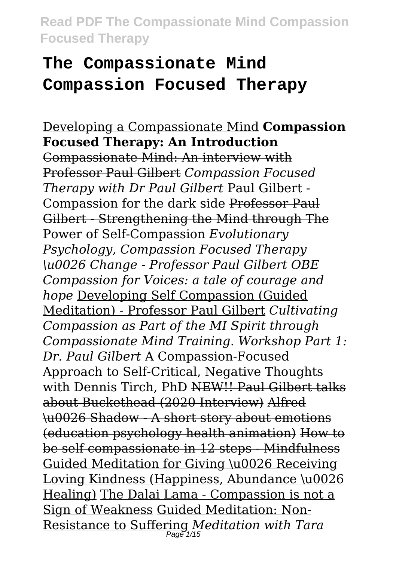# **The Compassionate Mind Compassion Focused Therapy**

Developing a Compassionate Mind **Compassion Focused Therapy: An Introduction** Compassionate Mind: An interview with Professor Paul Gilbert *Compassion Focused Therapy with Dr Paul Gilbert* Paul Gilbert - Compassion for the dark side Professor Paul Gilbert - Strengthening the Mind through The Power of Self-Compassion *Evolutionary Psychology, Compassion Focused Therapy \u0026 Change - Professor Paul Gilbert OBE Compassion for Voices: a tale of courage and hope* Developing Self Compassion (Guided Meditation) - Professor Paul Gilbert *Cultivating Compassion as Part of the MI Spirit through Compassionate Mind Training. Workshop Part 1: Dr. Paul Gilbert* A Compassion-Focused Approach to Self-Critical, Negative Thoughts with Dennis Tirch, PhD NEW!! Paul Gilbert talks about Buckethead (2020 Interview) Alfred \u0026 Shadow - A short story about emotions (education psychology health animation) How to be self compassionate in 12 steps - Mindfulness Guided Meditation for Giving \u0026 Receiving Loving Kindness (Happiness, Abundance \u0026 Healing) The Dalai Lama - Compassion is not a Sign of Weakness Guided Meditation: Non-Resistance to Suffering *Meditation with Tara* Page 1/15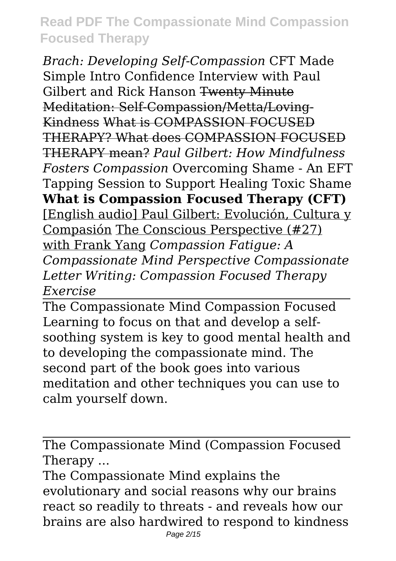*Brach: Developing Self-Compassion* CFT Made Simple Intro Confidence Interview with Paul Gilbert and Rick Hanson Twenty Minute Meditation: Self-Compassion/Metta/Loving-Kindness What is COMPASSION FOCUSED THERAPY? What does COMPASSION FOCUSED THERAPY mean? *Paul Gilbert: How Mindfulness Fosters Compassion* Overcoming Shame - An EFT Tapping Session to Support Healing Toxic Shame **What is Compassion Focused Therapy (CFT)** [English audio] Paul Gilbert: Evolución, Cultura y Compasión The Conscious Perspective (#27) with Frank Yang *Compassion Fatigue: A Compassionate Mind Perspective Compassionate Letter Writing: Compassion Focused Therapy Exercise*

The Compassionate Mind Compassion Focused Learning to focus on that and develop a selfsoothing system is key to good mental health and to developing the compassionate mind. The second part of the book goes into various meditation and other techniques you can use to calm yourself down.

The Compassionate Mind (Compassion Focused Therapy ...

The Compassionate Mind explains the evolutionary and social reasons why our brains react so readily to threats - and reveals how our brains are also hardwired to respond to kindness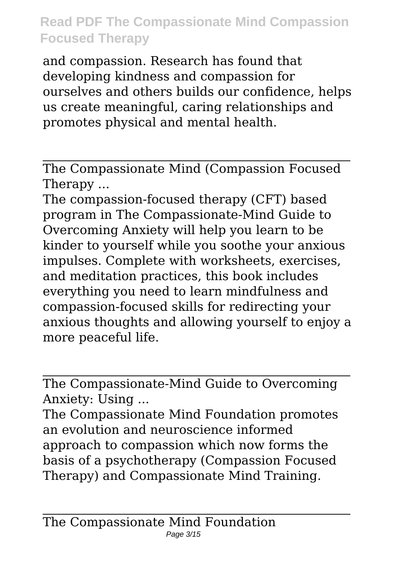and compassion. Research has found that developing kindness and compassion for ourselves and others builds our confidence, helps us create meaningful, caring relationships and promotes physical and mental health.

The Compassionate Mind (Compassion Focused Therapy ...

The compassion-focused therapy (CFT) based program in The Compassionate-Mind Guide to Overcoming Anxiety will help you learn to be kinder to yourself while you soothe your anxious impulses. Complete with worksheets, exercises, and meditation practices, this book includes everything you need to learn mindfulness and compassion-focused skills for redirecting your anxious thoughts and allowing yourself to enjoy a more peaceful life.

The Compassionate-Mind Guide to Overcoming Anxiety: Using ...

The Compassionate Mind Foundation promotes an evolution and neuroscience informed approach to compassion which now forms the basis of a psychotherapy (Compassion Focused Therapy) and Compassionate Mind Training.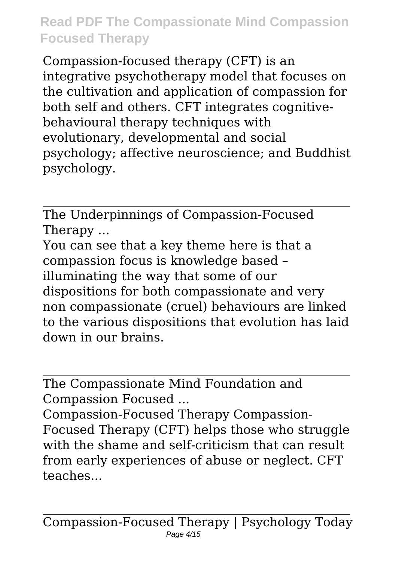Compassion-focused therapy (CFT) is an integrative psychotherapy model that focuses on the cultivation and application of compassion for both self and others. CFT integrates cognitivebehavioural therapy techniques with evolutionary, developmental and social psychology; affective neuroscience; and Buddhist psychology.

The Underpinnings of Compassion-Focused Therapy ...

You can see that a key theme here is that a compassion focus is knowledge based – illuminating the way that some of our dispositions for both compassionate and very non compassionate (cruel) behaviours are linked to the various dispositions that evolution has laid down in our brains.

The Compassionate Mind Foundation and Compassion Focused ...

Compassion-Focused Therapy Compassion-Focused Therapy (CFT) helps those who struggle with the shame and self-criticism that can result from early experiences of abuse or neglect. CFT teaches...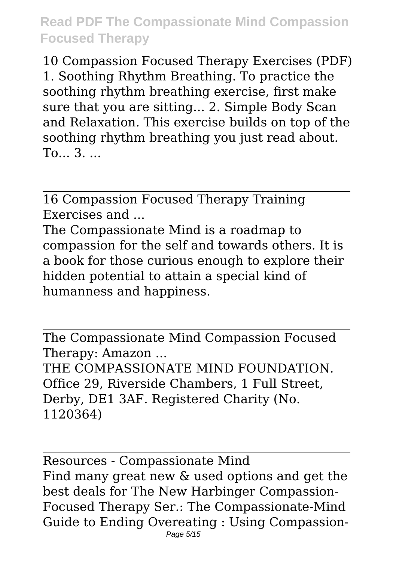10 Compassion Focused Therapy Exercises (PDF) 1. Soothing Rhythm Breathing. To practice the soothing rhythm breathing exercise, first make sure that you are sitting... 2. Simple Body Scan and Relaxation. This exercise builds on top of the soothing rhythm breathing you just read about. To... 3. ...

16 Compassion Focused Therapy Training Exercises and

The Compassionate Mind is a roadmap to compassion for the self and towards others. It is a book for those curious enough to explore their hidden potential to attain a special kind of humanness and happiness.

The Compassionate Mind Compassion Focused Therapy: Amazon ... THE COMPASSIONATE MIND FOUNDATION. Office 29, Riverside Chambers, 1 Full Street, Derby, DE1 3AF. Registered Charity (No. 1120364)

Resources - Compassionate Mind Find many great new & used options and get the best deals for The New Harbinger Compassion-Focused Therapy Ser.: The Compassionate-Mind Guide to Ending Overeating : Using Compassion-Page 5/15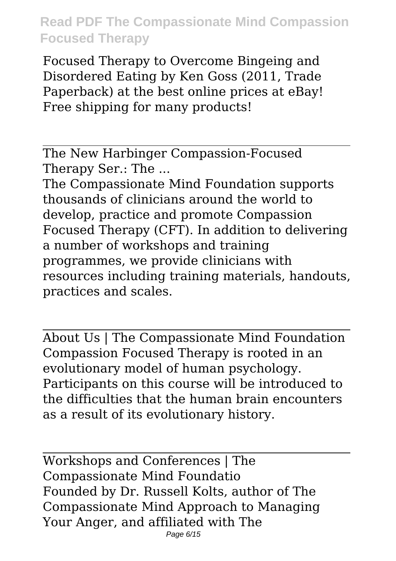Focused Therapy to Overcome Bingeing and Disordered Eating by Ken Goss (2011, Trade Paperback) at the best online prices at eBay! Free shipping for many products!

The New Harbinger Compassion-Focused Therapy Ser.: The ...

The Compassionate Mind Foundation supports thousands of clinicians around the world to develop, practice and promote Compassion Focused Therapy (CFT). In addition to delivering a number of workshops and training programmes, we provide clinicians with resources including training materials, handouts, practices and scales.

About Us | The Compassionate Mind Foundation Compassion Focused Therapy is rooted in an evolutionary model of human psychology. Participants on this course will be introduced to the difficulties that the human brain encounters as a result of its evolutionary history.

Workshops and Conferences | The Compassionate Mind Foundatio Founded by Dr. Russell Kolts, author of The Compassionate Mind Approach to Managing Your Anger, and affiliated with The Page 6/15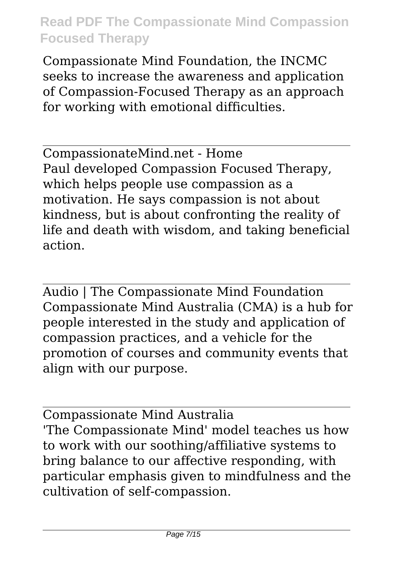Compassionate Mind Foundation, the INCMC seeks to increase the awareness and application of Compassion-Focused Therapy as an approach for working with emotional difficulties.

CompassionateMind.net - Home Paul developed Compassion Focused Therapy, which helps people use compassion as a motivation. He says compassion is not about kindness, but is about confronting the reality of life and death with wisdom, and taking beneficial action.

Audio | The Compassionate Mind Foundation Compassionate Mind Australia (CMA) is a hub for people interested in the study and application of compassion practices, and a vehicle for the promotion of courses and community events that align with our purpose.

Compassionate Mind Australia 'The Compassionate Mind' model teaches us how to work with our soothing/affiliative systems to bring balance to our affective responding, with particular emphasis given to mindfulness and the cultivation of self-compassion.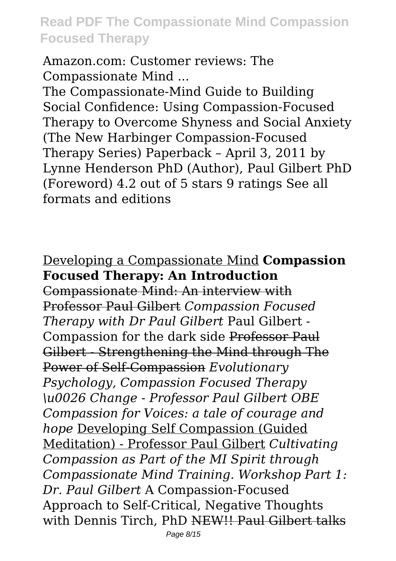Amazon.com: Customer reviews: The Compassionate Mind ...

The Compassionate-Mind Guide to Building Social Confidence: Using Compassion-Focused Therapy to Overcome Shyness and Social Anxiety (The New Harbinger Compassion-Focused Therapy Series) Paperback – April 3, 2011 by Lynne Henderson PhD (Author), Paul Gilbert PhD (Foreword) 4.2 out of 5 stars 9 ratings See all formats and editions

#### Developing a Compassionate Mind **Compassion Focused Therapy: An Introduction**

Compassionate Mind: An interview with Professor Paul Gilbert *Compassion Focused Therapy with Dr Paul Gilbert* Paul Gilbert - Compassion for the dark side Professor Paul Gilbert - Strengthening the Mind through The Power of Self-Compassion *Evolutionary Psychology, Compassion Focused Therapy \u0026 Change - Professor Paul Gilbert OBE Compassion for Voices: a tale of courage and hope* Developing Self Compassion (Guided Meditation) - Professor Paul Gilbert *Cultivating Compassion as Part of the MI Spirit through Compassionate Mind Training. Workshop Part 1: Dr. Paul Gilbert* A Compassion-Focused Approach to Self-Critical, Negative Thoughts with Dennis Tirch, PhD NEW!! Paul Gilbert talks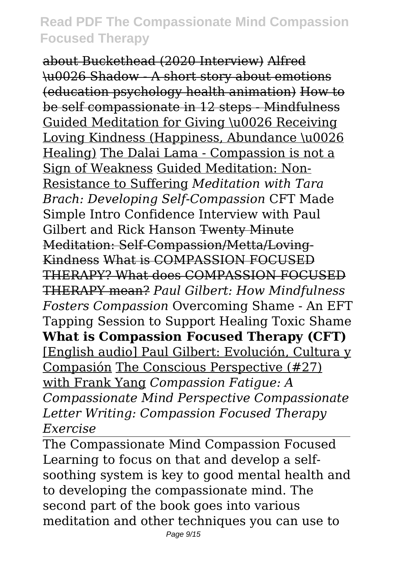about Buckethead (2020 Interview) Alfred \u0026 Shadow - A short story about emotions (education psychology health animation) How to be self compassionate in 12 steps - Mindfulness Guided Meditation for Giving \u0026 Receiving Loving Kindness (Happiness, Abundance \u0026 Healing) The Dalai Lama - Compassion is not a Sign of Weakness Guided Meditation: Non-Resistance to Suffering *Meditation with Tara Brach: Developing Self-Compassion* CFT Made Simple Intro Confidence Interview with Paul Gilbert and Rick Hanson Twenty Minute Meditation: Self-Compassion/Metta/Loving-Kindness What is COMPASSION FOCUSED THERAPY? What does COMPASSION FOCUSED THERAPY mean? *Paul Gilbert: How Mindfulness Fosters Compassion* Overcoming Shame - An EFT Tapping Session to Support Healing Toxic Shame **What is Compassion Focused Therapy (CFT)** [English audio] Paul Gilbert: Evolución, Cultura y Compasión The Conscious Perspective (#27) with Frank Yang *Compassion Fatigue: A Compassionate Mind Perspective Compassionate Letter Writing: Compassion Focused Therapy Exercise*

The Compassionate Mind Compassion Focused Learning to focus on that and develop a selfsoothing system is key to good mental health and to developing the compassionate mind. The second part of the book goes into various meditation and other techniques you can use to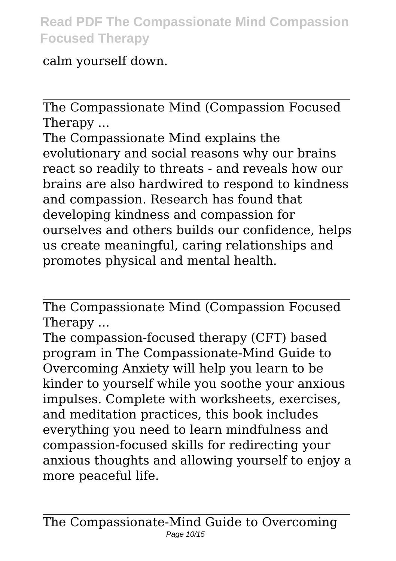calm yourself down.

The Compassionate Mind (Compassion Focused Therapy ...

The Compassionate Mind explains the evolutionary and social reasons why our brains react so readily to threats - and reveals how our brains are also hardwired to respond to kindness and compassion. Research has found that developing kindness and compassion for ourselves and others builds our confidence, helps us create meaningful, caring relationships and promotes physical and mental health.

The Compassionate Mind (Compassion Focused Therapy ...

The compassion-focused therapy (CFT) based program in The Compassionate-Mind Guide to Overcoming Anxiety will help you learn to be kinder to yourself while you soothe your anxious impulses. Complete with worksheets, exercises, and meditation practices, this book includes everything you need to learn mindfulness and compassion-focused skills for redirecting your anxious thoughts and allowing yourself to enjoy a more peaceful life.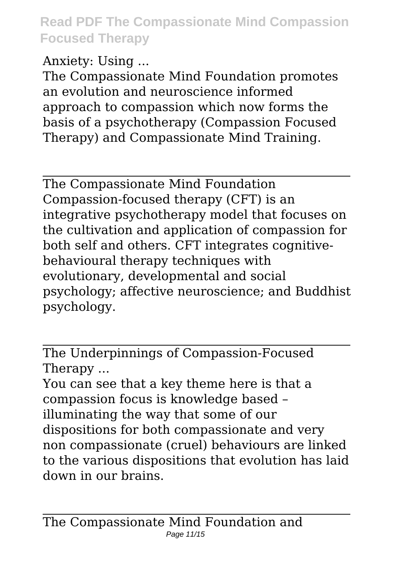Anxiety: Using ...

The Compassionate Mind Foundation promotes an evolution and neuroscience informed approach to compassion which now forms the basis of a psychotherapy (Compassion Focused Therapy) and Compassionate Mind Training.

The Compassionate Mind Foundation Compassion-focused therapy (CFT) is an integrative psychotherapy model that focuses on the cultivation and application of compassion for both self and others. CFT integrates cognitivebehavioural therapy techniques with evolutionary, developmental and social psychology; affective neuroscience; and Buddhist psychology.

The Underpinnings of Compassion-Focused Therapy ...

You can see that a key theme here is that a compassion focus is knowledge based – illuminating the way that some of our dispositions for both compassionate and very non compassionate (cruel) behaviours are linked to the various dispositions that evolution has laid down in our brains.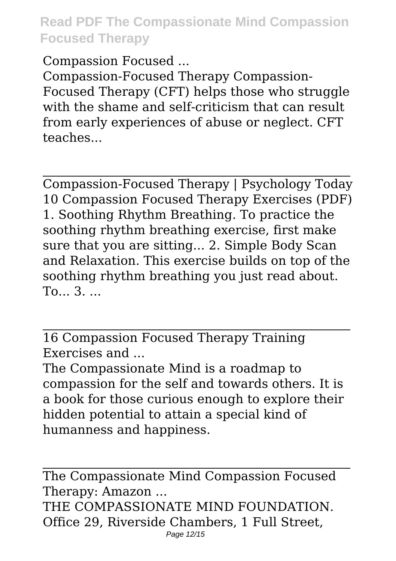Compassion Focused ...

Compassion-Focused Therapy Compassion-Focused Therapy (CFT) helps those who struggle with the shame and self-criticism that can result from early experiences of abuse or neglect. CFT teaches...

Compassion-Focused Therapy | Psychology Today 10 Compassion Focused Therapy Exercises (PDF) 1. Soothing Rhythm Breathing. To practice the soothing rhythm breathing exercise, first make sure that you are sitting... 2. Simple Body Scan and Relaxation. This exercise builds on top of the soothing rhythm breathing you just read about. To... 3. ...

16 Compassion Focused Therapy Training Exercises and ...

The Compassionate Mind is a roadmap to compassion for the self and towards others. It is a book for those curious enough to explore their hidden potential to attain a special kind of humanness and happiness.

The Compassionate Mind Compassion Focused Therapy: Amazon ... THE COMPASSIONATE MIND FOUNDATION. Office 29, Riverside Chambers, 1 Full Street, Page 12/15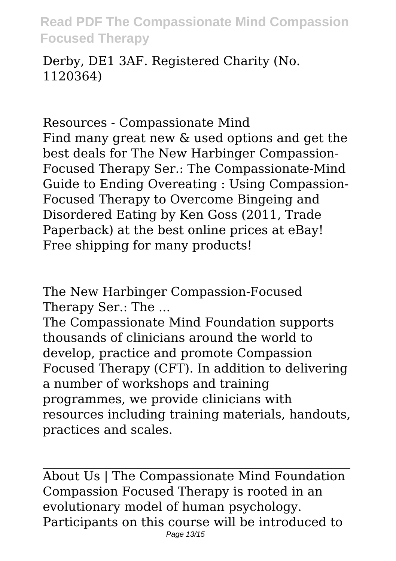Derby, DE1 3AF. Registered Charity (No. 1120364)

Resources - Compassionate Mind Find many great new & used options and get the best deals for The New Harbinger Compassion-Focused Therapy Ser.: The Compassionate-Mind Guide to Ending Overeating : Using Compassion-Focused Therapy to Overcome Bingeing and Disordered Eating by Ken Goss (2011, Trade Paperback) at the best online prices at eBay! Free shipping for many products!

The New Harbinger Compassion-Focused Therapy Ser.: The ...

The Compassionate Mind Foundation supports thousands of clinicians around the world to develop, practice and promote Compassion Focused Therapy (CFT). In addition to delivering a number of workshops and training programmes, we provide clinicians with resources including training materials, handouts, practices and scales.

About Us | The Compassionate Mind Foundation Compassion Focused Therapy is rooted in an evolutionary model of human psychology. Participants on this course will be introduced to Page 13/15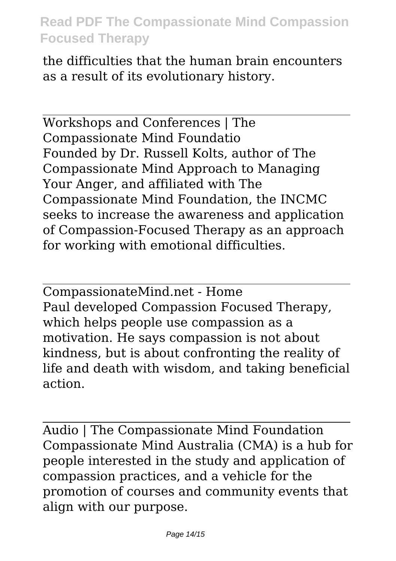the difficulties that the human brain encounters as a result of its evolutionary history.

Workshops and Conferences | The Compassionate Mind Foundatio Founded by Dr. Russell Kolts, author of The Compassionate Mind Approach to Managing Your Anger, and affiliated with The Compassionate Mind Foundation, the INCMC seeks to increase the awareness and application of Compassion-Focused Therapy as an approach for working with emotional difficulties.

CompassionateMind.net - Home Paul developed Compassion Focused Therapy, which helps people use compassion as a motivation. He says compassion is not about kindness, but is about confronting the reality of life and death with wisdom, and taking beneficial action.

Audio | The Compassionate Mind Foundation Compassionate Mind Australia (CMA) is a hub for people interested in the study and application of compassion practices, and a vehicle for the promotion of courses and community events that align with our purpose.